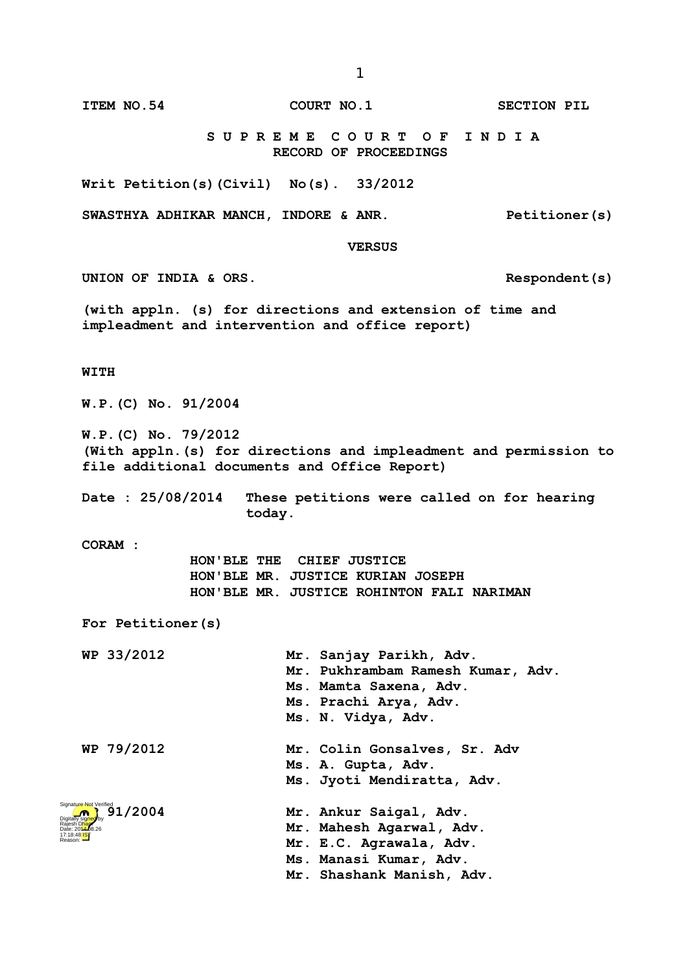**VERSUS UNION OF INDIA & ORS. Respondent(s) (with appln. (s) for directions and extension of time and impleadment and intervention and office report) WITH W.P.(C) No. 91/2004 W.P.(C) No. 79/2012 today. HON'BLE THE CHIEF JUSTICE HON'BLE MR. JUSTICE KURIAN JOSEPH HON'BLE MR. JUSTICE ROHINTON FALI NARIMAN WP 33/2012 Mr. Sanjay Parikh, Adv. Mr. Pukhrambam Ramesh Kumar, Adv. Ms. Mamta Saxena, Adv. Ms. Prachi Arya, Adv. Ms. N. Vidya, Adv. WP 79/2012 Mr. Colin Gonsalves, Sr. Adv Ms. A. Gupta, Adv. Ms. Jyoti Mendiratta, Adv. WP 91/2004 Mr. Ankur Saigal, Adv. Mr. Mahesh Agarwal, Adv.**

> **Mr. E.C. Agrawala, Adv. Ms. Manasi Kumar, Adv. Mr. Shashank Manish, Adv.**





1

**ITEM NO.54 COURT NO.1 SECTION PIL** 

 **S U P R E M E C O U R T O F I N D I A RECORD OF PROCEEDINGS**

**Writ Petition(s)(Civil) No(s). 33/2012**

**SWASTHYA ADHIKAR MANCH, INDORE & ANR. Petitioner(s)**

**(With appln.(s) for directions and impleadment and permission to file additional documents and Office Report)**

**Date : 25/08/2014 These petitions were called on for hearing** 

**CORAM :** 

**For Petitioner(s)**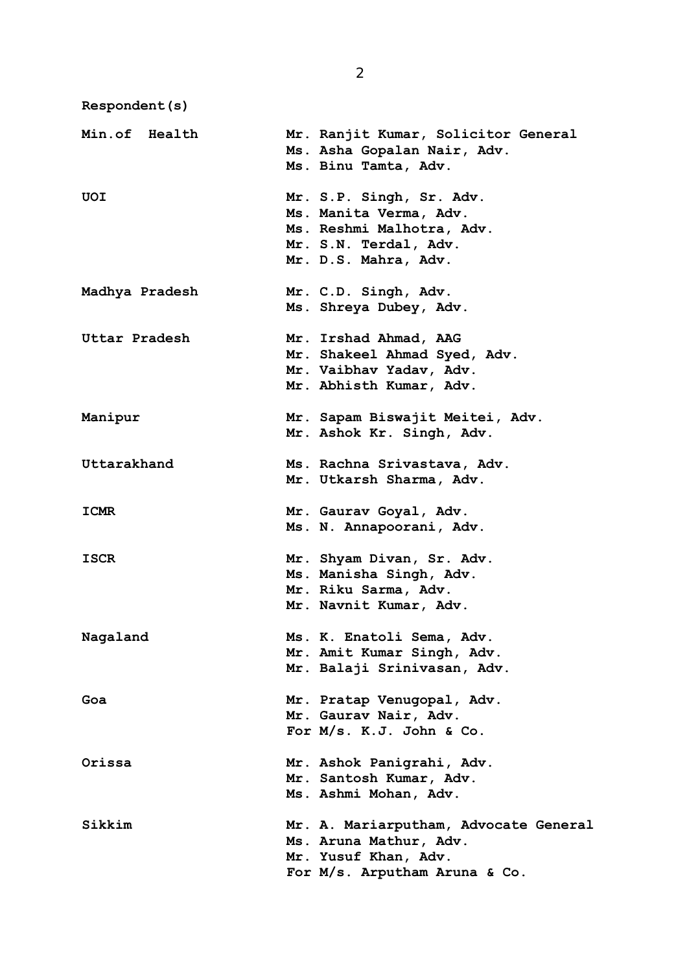**Respondent(s)**

**Min.of Health Mr. Ranjit Kumar, Solicitor General Ms. Asha Gopalan Nair, Adv. Ms. Binu Tamta, Adv. UOI Mr. S.P. Singh, Sr. Adv. Ms. Manita Verma, Adv. Ms. Reshmi Malhotra, Adv. Mr. S.N. Terdal, Adv. Mr. D.S. Mahra, Adv. Madhya Pradesh Mr. C.D. Singh, Adv. Ms. Shreya Dubey, Adv. Uttar Pradesh Mr. Irshad Ahmad, AAG Mr. Shakeel Ahmad Syed, Adv. Mr. Vaibhav Yadav, Adv. Mr. Abhisth Kumar, Adv. Manipur Mr. Sapam Biswajit Meitei, Adv. Mr. Ashok Kr. Singh, Adv. Uttarakhand Ms. Rachna Srivastava, Adv. Mr. Utkarsh Sharma, Adv. ICMR Mr. Gaurav Goyal, Adv. Ms. N. Annapoorani, Adv. ISCR Mr. Shyam Divan, Sr. Adv. Ms. Manisha Singh, Adv. Mr. Riku Sarma, Adv. Mr. Navnit Kumar, Adv. Nagaland Ms. K. Enatoli Sema, Adv. Mr. Amit Kumar Singh, Adv. Mr. Balaji Srinivasan, Adv. Goa Mr. Pratap Venugopal, Adv. Mr. Gaurav Nair, Adv. For M/s. K.J. John & Co. Orissa Mr. Ashok Panigrahi, Adv. Mr. Santosh Kumar, Adv. Ms. Ashmi Mohan, Adv. Sikkim Mr. A. Mariarputham, Advocate General Ms. Aruna Mathur, Adv. Mr. Yusuf Khan, Adv. For M/s. Arputham Aruna & Co.**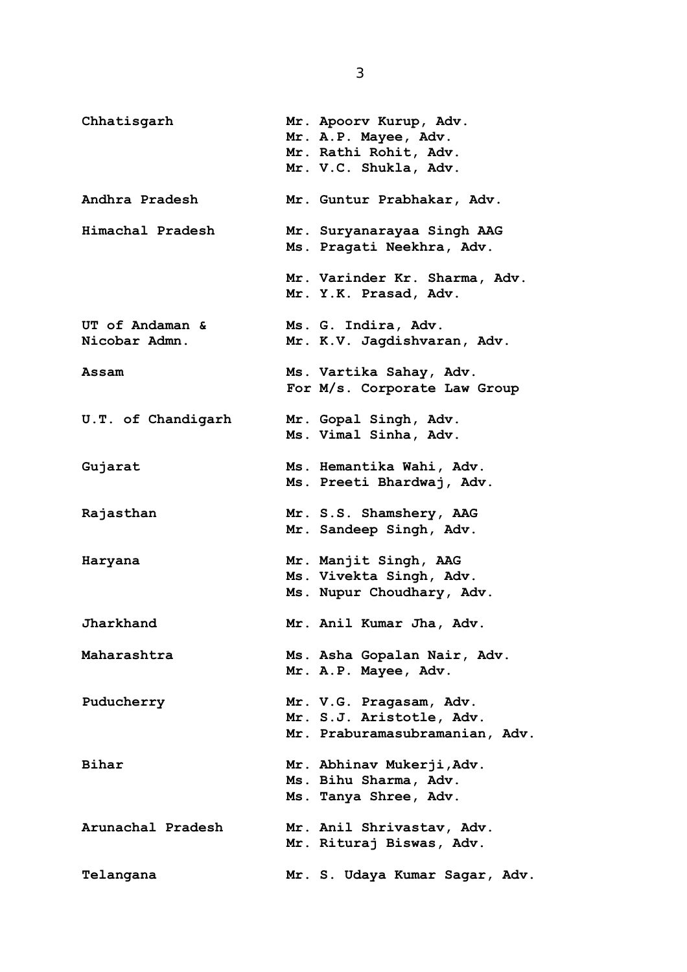- **Chhatisgarh Mr. Apoorv Kurup, Adv. Mr. A.P. Mayee, Adv. Mr. Rathi Rohit, Adv. Mr. V.C. Shukla, Adv. Andhra Pradesh Mr. Guntur Prabhakar, Adv. Himachal Pradesh Mr. Suryanarayaa Singh AAG Ms. Pragati Neekhra, Adv. Mr. Varinder Kr. Sharma, Adv. Mr. Y.K. Prasad, Adv. UT of Andaman & Ms. G. Indira, Adv. Nicobar Admn. Mr. K.V. Jagdishvaran, Adv. Assam Ms. Vartika Sahay, Adv. For M/s. Corporate Law Group U.T. of Chandigarh Mr. Gopal Singh, Adv. Ms. Vimal Sinha, Adv. Gujarat Ms. Hemantika Wahi, Adv. Ms. Preeti Bhardwaj, Adv. Rajasthan Mr. S.S. Shamshery, AAG Mr. Sandeep Singh, Adv. Haryana Mr. Manjit Singh, AAG Ms. Vivekta Singh, Adv. Ms. Nupur Choudhary, Adv. Jharkhand Mr. Anil Kumar Jha, Adv. Maharashtra Ms. Asha Gopalan Nair, Adv. Mr. A.P. Mayee, Adv. Puducherry Mr. V.G. Pragasam, Adv. Mr. S.J. Aristotle, Adv. Mr. Praburamasubramanian, Adv. Bihar Mr. Abhinav Mukerji,Adv. Ms. Bihu Sharma, Adv. Ms. Tanya Shree, Adv. Arunachal Pradesh Mr. Anil Shrivastav, Adv. Mr. Rituraj Biswas, Adv. Telangana Mr. S. Udaya Kumar Sagar, Adv.**
- 3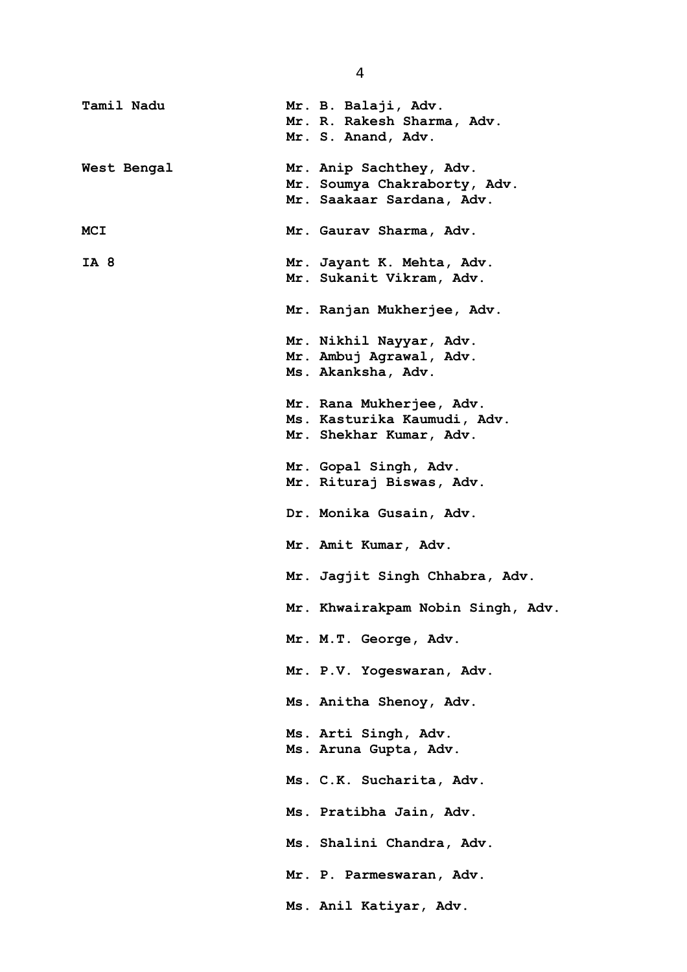| Tamil Nadu  | Mr. B. Balaji, Adv.<br>Mr. R. Rakesh Sharma, Adv.<br>Mr. S. Anand, Adv. |
|-------------|-------------------------------------------------------------------------|
| West Bengal | Mr. Anip Sachthey, Adv.                                                 |
|             | Mr. Soumya Chakraborty, Adv.                                            |
|             | Mr. Saakaar Sardana, Adv.                                               |
| MCI         | Mr. Gaurav Sharma, Adv.                                                 |
| IA 8        | Mr. Jayant K. Mehta, Adv.                                               |
|             | Mr. Sukanit Vikram, Adv.                                                |
|             | Mr. Ranjan Mukherjee, Adv.                                              |
|             | Mr. Nikhil Nayyar, Adv.                                                 |
|             | Mr. Ambuj Agrawal, Adv.                                                 |
|             | Ms. Akanksha, Adv.                                                      |
|             | Mr. Rana Mukherjee, Adv.                                                |
|             | Ms. Kasturika Kaumudi, Adv.                                             |
|             | Mr. Shekhar Kumar, Adv.                                                 |
|             | Mr. Gopal Singh, Adv.                                                   |
|             | Mr. Rituraj Biswas, Adv.                                                |
|             | Dr. Monika Gusain, Adv.                                                 |
|             | Mr. Amit Kumar, Adv.                                                    |
|             | Mr. Jagjit Singh Chhabra, Adv.                                          |
|             | Mr. Khwairakpam Nobin Singh, Adv.                                       |
|             | Mr. M.T. George, Adv.                                                   |
|             | Mr. P.V. Yogeswaran, Adv.                                               |
|             | Ms. Anitha Shenoy, Adv.                                                 |
|             | Ms. Arti Singh, Adv.                                                    |
|             | Ms. Aruna Gupta, Adv.                                                   |
|             |                                                                         |
|             | Ms. C.K. Sucharita, Adv.                                                |
|             | Ms. Pratibha Jain, Adv.                                                 |
|             | Ms. Shalini Chandra, Adv.                                               |
|             | Mr. P. Parmeswaran, Adv.                                                |
|             | Ms. Anil Katiyar, Adv.                                                  |

4